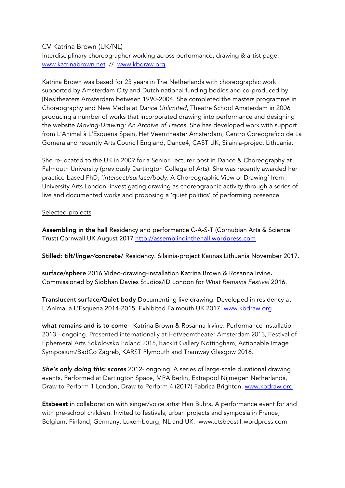## CV Katrina Brown (UK/NL)

Interdisciplinary choreographer working across performance, drawing & artist page. www.katrinabrown.net // www.kbdraw.org

Katrina Brown was based for 23 years in The Netherlands with choreographic work supported by Amsterdam City and Dutch national funding bodies and co-produced by [Nes]theaters Amsterdam between 1990-2004. She completed the masters programme in Choreography and New Media at *Dance Unlimited*, Theatre School Amsterdam in 2006 producing a number of works that incorporated drawing into performance and designing the website *Moving-Drawing: An Archive of Traces.* She has developed work with support from L'Animal à L'Esquena Spain, Het Veemtheater Amsterdam, Centro Coreografico de La Gomera and recently Arts Council England, Dance4, CAST UK, Silainia-project Lithuania.

She re-located to the UK in 2009 for a Senior Lecturer post in Dance & Choreography at Falmouth University (previously Dartington College of Arts). She was recently awarded her practice-based PhD, '*intersect/surface/body*: A Choreographic View of Drawing' from University Arts London, investigating drawing as choreographic activity through a series of live and documented works and proposing a 'quiet politics' of performing presence.

## Selected projects

Assembling in the hall Residency and performance C-A-S-T (Cornubian Arts & Science Trust) Cornwall UK August 2017 http://assemblinginthehall.wordpress.com

Stilled: tilt/*linger/*concrete/ Residency. Silainia-project Kaunas Lithuania November 2017.

surface/sphere 2016 Video-drawing-installation Katrina Brown & Rosanna Irvine. Commissioned by Siobhan Davies Studios/ID London for *What Remains Festival* 2016.

Translucent surface/Quiet body Documenting live drawing. Developed in residency at L'Animal a L'Esquena 2014-2015. Exhibited Falmouth UK 2017 www.kbdraw.org

what remains and is to come - Katrina Brown & Rosanna Irvine. Performance installation 2013 - ongoing. Presented internationally at HetVeemtheater Amsterdam 2013, Festival of Ephemeral Arts Sokolovsko Poland 2015, Backlit Gallery Nottingham, Actionable Image Symposium/BadCo Zagreb, KARST Plymouth and Tramway Glasgow 2016.

*She's only doing this: scores* 2012- ongoing. A series of large-scale durational drawing events. Performed at Dartington Space, MPA Berlin, Extrapool Nijmegen Netherlands, Draw to Perform 1 London, Draw to Perform 4 (2017) Fabrica Brighton. www.kbdraw.org

Etsbeest in collaboration with singer/voice artist Han Buhrs. A performance event for and with pre-school children. Invited to festivals, urban projects and symposia in France, Belgium, Finland, Germany, Luxembourg, NL and UK. www.etsbeest1.wordpress.com